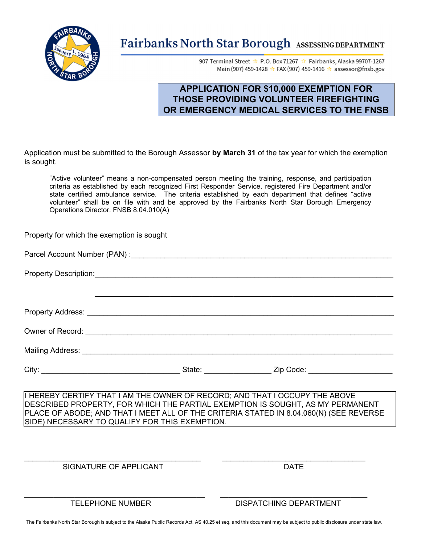

# Fairbanks North Star Borough ASSESSING DEPARTMENT

907 Terminal Street \* P.O. Box 71267 \* Fairbanks, Alaska 99707-1267 Main (907) 459-1428 \* FAX (907) 459-1416 \* assessor@fnsb.gov

## **APPLICATION FOR \$10,000 EXEMPTION FOR THOSE PROVIDING VOLUNTEER FIREFIGHTING OR EMERGENCY MEDICAL SERVICES TO THE FNSB**

Application must be submitted to the Borough Assessor **by March 31** of the tax year for which the exemption is sought.

"Active volunteer" means a non-compensated person meeting the training, response, and participation criteria as established by each recognized First Responder Service, registered Fire Department and/or state certified ambulance service. The criteria established by each department that defines "active volunteer" shall be on file with and be approved by the Fairbanks North Star Borough Emergency Operations Director. FNSB 8.04.010(A)

| Property for which the exemption is sought                                                                                                                                                                                                                                                                |  |  |  |
|-----------------------------------------------------------------------------------------------------------------------------------------------------------------------------------------------------------------------------------------------------------------------------------------------------------|--|--|--|
|                                                                                                                                                                                                                                                                                                           |  |  |  |
|                                                                                                                                                                                                                                                                                                           |  |  |  |
|                                                                                                                                                                                                                                                                                                           |  |  |  |
|                                                                                                                                                                                                                                                                                                           |  |  |  |
|                                                                                                                                                                                                                                                                                                           |  |  |  |
|                                                                                                                                                                                                                                                                                                           |  |  |  |
|                                                                                                                                                                                                                                                                                                           |  |  |  |
| I HEREBY CERTIFY THAT I AM THE OWNER OF RECORD; AND THAT I OCCUPY THE ABOVE<br>DESCRIBED PROPERTY, FOR WHICH THE PARTIAL EXEMPTION IS SOUGHT, AS MY PERMANENT<br>PLACE OF ABODE; AND THAT I MEET ALL OF THE CRITERIA STATED IN 8.04.060(N) (SEE REVERSE<br>SIDE) NECESSARY TO QUALIFY FOR THIS EXEMPTION. |  |  |  |

SIGNATURE OF APPLICANT **Example 20 SIGNATURE OF APPLICANT** 

TELEPHONE NUMBER DISPATCHING DEPARTMENT

\_\_\_\_\_\_\_\_\_\_\_\_\_\_\_\_\_\_\_\_\_\_\_\_\_\_\_\_\_\_\_\_\_\_\_\_\_\_\_\_\_\_ \_\_\_\_\_\_\_\_\_\_\_\_\_\_\_\_\_\_\_\_\_\_\_\_\_\_\_\_\_\_\_\_\_\_

 $\_$  , and the set of the set of the set of the set of the set of the set of the set of the set of the set of the set of the set of the set of the set of the set of the set of the set of the set of the set of the set of th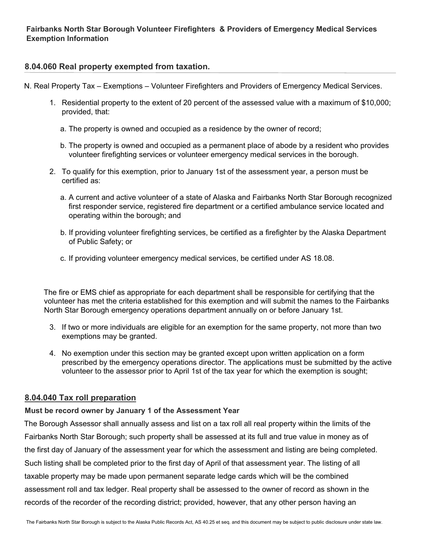#### **8.04.060 Real property exempted from taxation.**

N. Real Property Tax – Exemptions – Volunteer Firefighters and Providers of Emergency Medical Services.

- 1. Residential property to the extent of 20 percent of the assessed value with a maximum of \$10,000; provided, that:
	- a. The property is owned and occupied as a residence by the owner of record;
	- b. The property is owned and occupied as a permanent place of abode by a resident who provides volunteer firefighting services or volunteer emergency medical services in the borough.
- 2. To qualify for this exemption, prior to January 1st of the assessment year, a person must be certified as:
	- a. A current and active volunteer of a state of Alaska and Fairbanks North Star Borough recognized first responder service, registered fire department or a certified ambulance service located and operating within the borough; and
	- b. If providing volunteer firefighting services, be certified as a firefighter by the Alaska Department of Public Safety; or
	- c. If providing volunteer emergency medical services, be certified under AS 18.08.

The fire or EMS chief as appropriate for each department shall be responsible for certifying that the volunteer has met the criteria established for this exemption and will submit the names to the Fairbanks North Star Borough emergency operations department annually on or before January 1st.

- 3. If two or more individuals are eligible for an exemption for the same property, not more than two exemptions may be granted.
- 4. No exemption under this section may be granted except upon written application on a form prescribed by the emergency operations director. The applications must be submitted by the active volunteer to the assessor prior to April 1st of the tax year for which the exemption is sought;

### **8.04.040 Tax roll preparation**

#### **Must be record owner by January 1 of the Assessment Year**

The Borough Assessor shall annually assess and list on a tax roll all real property within the limits of the Fairbanks North Star Borough; such property shall be assessed at its full and true value in money as of the first day of January of the assessment year for which the assessment and listing are being completed. Such listing shall be completed prior to the first day of April of that assessment year. The listing of all taxable property may be made upon permanent separate ledge cards which will be the combined assessment roll and tax ledger. Real property shall be assessed to the owner of record as shown in the records of the recorder of the recording district; provided, however, that any other person having an